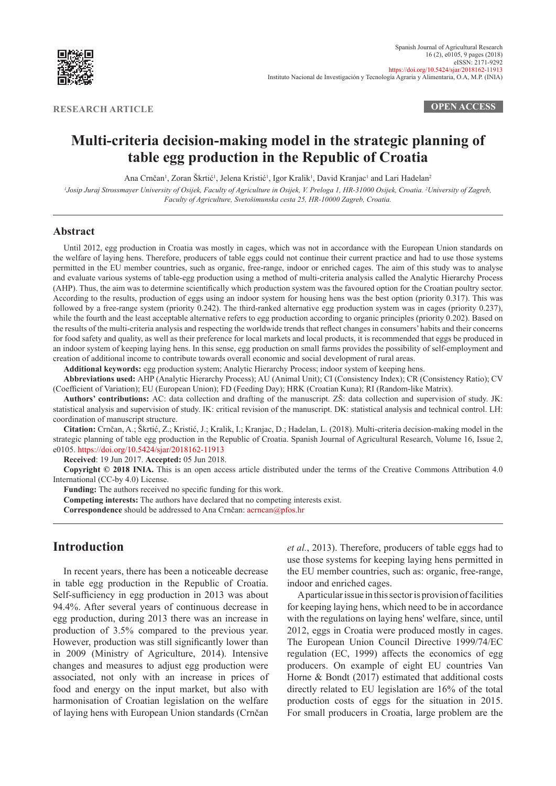

**RESEARCH ARTICLE OPEN ACCESS**

# **Multi-criteria decision-making model in the strategic planning of table egg production in the Republic of Croatia**

Ana Crnčan<sup>1</sup>, Zoran Škrtić<sup>1</sup>, Jelena Kristić<sup>1</sup>, Igor Kralik<sup>1</sup>, David Kranjac<sup>1</sup> and Lari Hadelan<sup>2</sup>

*1 Josip Juraj Strossmayer University of Osijek, Faculty of Agriculture in Osijek, V. Preloga 1, HR-31000 Osijek, Croatia. 2 University of Zagreb, Faculty of Agriculture, Svetošimunska cesta 25, HR-10000 Zagreb, Croatia.*

#### **Abstract**

Until 2012, egg production in Croatia was mostly in cages, which was not in accordance with the European Union standards on the welfare of laying hens. Therefore, producers of table eggs could not continue their current practice and had to use those systems permitted in the EU member countries, such as organic, free-range, indoor or enriched cages. The aim of this study was to analyse and evaluate various systems of table-egg production using a method of multi-criteria analysis called the Analytic Hierarchy Process (AHP). Thus, the aim was to determine scientifically which production system was the favoured option for the Croatian poultry sector. According to the results, production of eggs using an indoor system for housing hens was the best option (priority 0.317). This was followed by a free-range system (priority 0.242). The third-ranked alternative egg production system was in cages (priority 0.237), while the fourth and the least acceptable alternative refers to egg production according to organic principles (priority 0.202). Based on the results of the multi-criteria analysis and respecting the worldwide trends that reflect changes in consumers' habits and their concerns for food safety and quality, as well as their preference for local markets and local products, it is recommended that eggs be produced in an indoor system of keeping laying hens. In this sense, egg production on small farms provides the possibility of self-employment and creation of additional income to contribute towards overall economic and social development of rural areas.

**Additional keywords:** egg production system; Analytic Hierarchy Process; indoor system of keeping hens.

**Abbreviations used:** AHP (Analytic Hierarchy Process); AU (Animal Unit); CI (Consistency Index); CR (Consistency Ratio); CV (Coefficient of Variation); EU (European Union); FD (Feeding Day); HRK (Croatian Kuna); RI (Random-like Matrix).

**Authors' contributions:** AC: data collection and drafting of the manuscript. ZŠ: data collection and supervision of study. JK: statistical analysis and supervision of study. IK: critical revision of the manuscript. DK: statistical analysis and technical control. LH: coordination of manuscript structure.

**Citation:** Crnčan, A.; Škrtić, Z.; Kristić, J.; Kralik, I.; Kranjac, D.; Hadelan, L. (2018). Multi-criteria decision-making model in the strategic planning of table egg production in the Republic of Croatia. Spanish Journal of Agricultural Research, Volume 16, Issue 2, e0105.<https://doi.org/10.5424/sjar/2018162-11913>

**Received**: 19 Jun 2017. **Accepted:** 05 Jun 2018.

**Copyright © 2018 INIA.** This is an open access article distributed under the terms of the Creative Commons Attribution 4.0 International (CC-by 4.0) License.

**Funding:** The authors received no specific funding for this work.

**Competing interests:** The authors have declared that no competing interests exist.

**Correspondence** should be addressed to Ana Crnčan: [acrncan@pfos.hr](http://acrncan@pfos.hr)

# **Introduction**

In recent years, there has been a noticeable decrease in table egg production in the Republic of Croatia. Self-sufficiency in egg production in 2013 was about 94.4%. After several years of continuous decrease in egg production, during 2013 there was an increase in production of 3.5% compared to the previous year. However, production was still significantly lower than in 2009 (Ministry of Agriculture, 2014). Intensive changes and measures to adjust egg production were associated, not only with an increase in prices of food and energy on the input market, but also with harmonisation of Croatian legislation on the welfare of laying hens with European Union standards (Crnčan

*et al.*, 2013). Therefore, producers of table eggs had to use those systems for keeping laying hens permitted in the EU member countries, such as: organic, free-range, indoor and enriched cages.

A particular issue in this sector is provision of facilities for keeping laying hens, which need to be in accordance with the regulations on laying hens' welfare, since, until 2012, eggs in Croatia were produced mostly in cages. The European Union Council Directive 1999/74/EC regulation (EC, 1999) affects the economics of egg producers. On example of eight EU countries Van Horne & Bondt (2017) estimated that additional costs directly related to EU legislation are 16% of the total production costs of eggs for the situation in 2015. For small producers in Croatia, large problem are the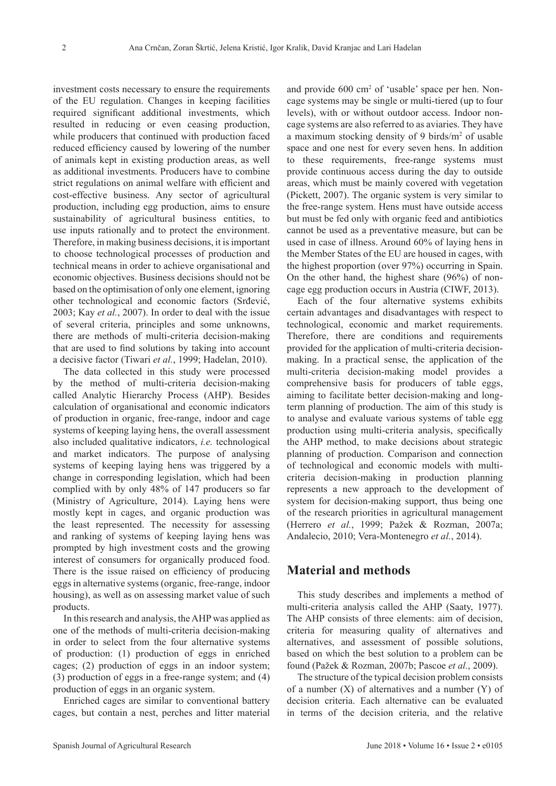investment costs necessary to ensure the requirements of the EU regulation. Changes in keeping facilities required significant additional investments, which resulted in reducing or even ceasing production, while producers that continued with production faced reduced efficiency caused by lowering of the number of animals kept in existing production areas, as well as additional investments. Producers have to combine strict regulations on animal welfare with efficient and cost-effective business. Any sector of agricultural production, including egg production, aims to ensure sustainability of agricultural business entities, to use inputs rationally and to protect the environment. Therefore, in making business decisions, it is important to choose technological processes of production and technical means in order to achieve organisational and economic objectives. Business decisions should not be based on the optimisation of only one element, ignoring other technological and economic factors (Srđević, 2003; Kay *et al.*, 2007). In order to deal with the issue of several criteria, principles and some unknowns, there are methods of multi-criteria decision-making that are used to find solutions by taking into account a decisive factor (Tiwari *et al.*, 1999; Hadelan, 2010).

The data collected in this study were processed by the method of multi-criteria decision-making called Analytic Hierarchy Process (AHP). Besides calculation of organisational and economic indicators of production in organic, free-range, indoor and cage systems of keeping laying hens, the overall assessment also included qualitative indicators, *i.e.* technological and market indicators. The purpose of analysing systems of keeping laying hens was triggered by a change in corresponding legislation, which had been complied with by only 48% of 147 producers so far (Ministry of Agriculture, 2014). Laying hens were mostly kept in cages, and organic production was the least represented. The necessity for assessing and ranking of systems of keeping laying hens was prompted by high investment costs and the growing interest of consumers for organically produced food. There is the issue raised on efficiency of producing eggs in alternative systems (organic, free-range, indoor housing), as well as on assessing market value of such products.

In this research and analysis, the AHP was applied as one of the methods of multi-criteria decision-making in order to select from the four alternative systems of production: (1) production of eggs in enriched cages; (2) production of eggs in an indoor system; (3) production of eggs in a free-range system; and (4) production of eggs in an organic system.

Enriched cages are similar to conventional battery cages, but contain a nest, perches and litter material and provide 600 cm<sup>2</sup> of 'usable' space per hen. Noncage systems may be single or multi-tiered (up to four levels), with or without outdoor access. Indoor noncage systems are also referred to as aviaries. They have a maximum stocking density of 9 birds/m<sup>2</sup> of usable space and one nest for every seven hens. In addition to these requirements, free-range systems must provide continuous access during the day to outside areas, which must be mainly covered with vegetation (Pickett, 2007). The organic system is very similar to the free-range system. Hens must have outside access but must be fed only with organic feed and antibiotics cannot be used as a preventative measure, but can be used in case of illness. Around 60% of laying hens in the Member States of the EU are housed in cages, with the highest proportion (over 97%) occurring in Spain. On the other hand, the highest share (96%) of noncage egg production occurs in Austria (CIWF, 2013).

Each of the four alternative systems exhibits certain advantages and disadvantages with respect to technological, economic and market requirements. Therefore, there are conditions and requirements provided for the application of multi-criteria decisionmaking. In a practical sense, the application of the multi-criteria decision-making model provides a comprehensive basis for producers of table eggs, aiming to facilitate better decision-making and longterm planning of production. The aim of this study is to analyse and evaluate various systems of table egg production using multi-criteria analysis, specifically the AHP method, to make decisions about strategic planning of production. Comparison and connection of technological and economic models with multicriteria decision-making in production planning represents a new approach to the development of system for decision-making support, thus being one of the research priorities in agricultural management (Herrero *et al.*, 1999; Pažek & Rozman, 2007a; Andalecio, 2010; Vera-Montenegro *et al.*, 2014).

# **Material and methods**

This study describes and implements a method of multi-criteria analysis called the AHP (Saaty, 1977). The AHP consists of three elements: aim of decision, criteria for measuring quality of alternatives and alternatives, and assessment of possible solutions, based on which the best solution to a problem can be found (Pažek & Rozman, 2007b; Pascoe *et al.*, 2009).

The structure of the typical decision problem consists of a number  $(X)$  of alternatives and a number  $(Y)$  of decision criteria. Each alternative can be evaluated in terms of the decision criteria, and the relative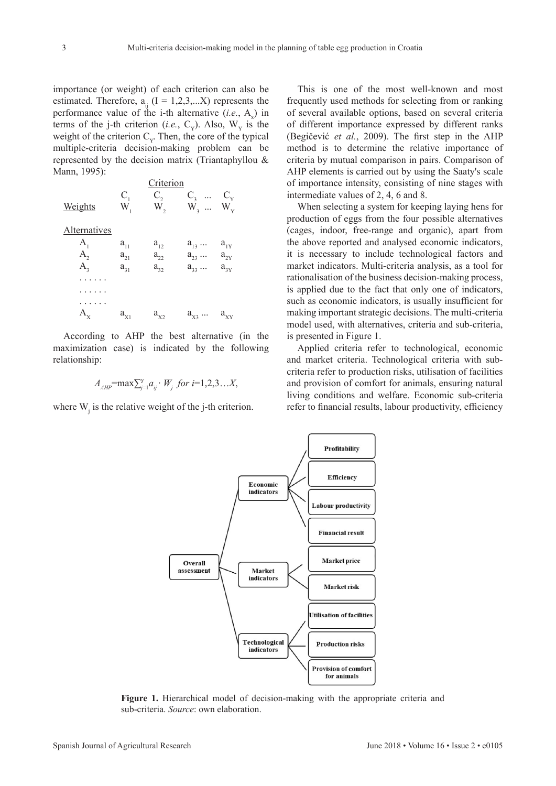importance (or weight) of each criterion can also be estimated. Therefore,  $a_{ii}$  (I = 1,2,3,...X) represents the performance value of the i-th alternative  $(i.e., A_x)$  in terms of the j-th criterion (*i.e.*, C<sub>y</sub>). Also,  $W_y$  is the weight of the criterion  $C_y$ . Then, the core of the typical multiple-criteria decision-making problem can be represented by the decision matrix (Triantaphyllou & Mann, 1995):

|              | Criterion |          |                         |          |
|--------------|-----------|----------|-------------------------|----------|
|              | $C_{1}$   | $C_{2}$  | $C_{\rm a}$<br>$\cdots$ | $C_{v}$  |
| Weights      | $W_{1}$   | $W_{2}$  | $W_3 \ldots W_{Y}$      |          |
| Alternatives |           |          |                         |          |
| $A_{1}$      | $a_{11}$  | $a_{12}$ | $a_{13}$                | $a_{1Y}$ |
| $A_{2}$      | $a_{21}$  | $a_{22}$ | $a_{23}$                | $a_{2Y}$ |
| $A_{\rm a}$  | $a_{31}$  | $a_{32}$ | $a_{33}$                | $a_{3Y}$ |
|              |           |          |                         |          |
|              |           |          |                         |          |
|              |           |          |                         |          |
| $A_{x}$      | $a_{X1}$  | $a_{X2}$ | $a_{x_3} \dots$         | $a_{XY}$ |

According to AHP the best alternative (in the maximization case) is indicated by the following relationship:

$$
A_{AHP}
$$
=max $\sum_{j=1}^{Y} a_{ij} \cdot W_j$  for  $i=1,2,3...X$ ,

where  $W_j$  is the relative weight of the j-th criterion.

This is one of the most well-known and most frequently used methods for selecting from or ranking of several available options, based on several criteria of different importance expressed by different ranks (Begičević *et al.*, 2009). The first step in the AHP method is to determine the relative importance of criteria by mutual comparison in pairs. Comparison of AHP elements is carried out by using the Saaty's scale of importance intensity, consisting of nine stages with intermediate values of 2, 4, 6 and 8.

When selecting a system for keeping laying hens for production of eggs from the four possible alternatives (cages, indoor, free-range and organic), apart from the above reported and analysed economic indicators, it is necessary to include technological factors and market indicators. Multi-criteria analysis, as a tool for rationalisation of the business decision-making process, is applied due to the fact that only one of indicators, such as economic indicators, is usually insufficient for making important strategic decisions. The multi-criteria model used, with alternatives, criteria and sub-criteria, is presented in Figure 1.

Applied criteria refer to technological, economic and market criteria. Technological criteria with subcriteria refer to production risks, utilisation of facilities and provision of comfort for animals, ensuring natural living conditions and welfare. Economic sub-criteria refer to financial results, labour productivity, efficiency

Profitability

Efficiency

**Labour productivity** 

**Financial result** 

**Market price** Overall assessment Market indicators **Market risk Utilisation of facilities** Technological **Production risks** indicators Provision of comfort for animals

Economic indicators

**Figure 1.** Hierarchical model of decision-making with the appropriate criteria and

sub-criteria. *Source*: own elaboration.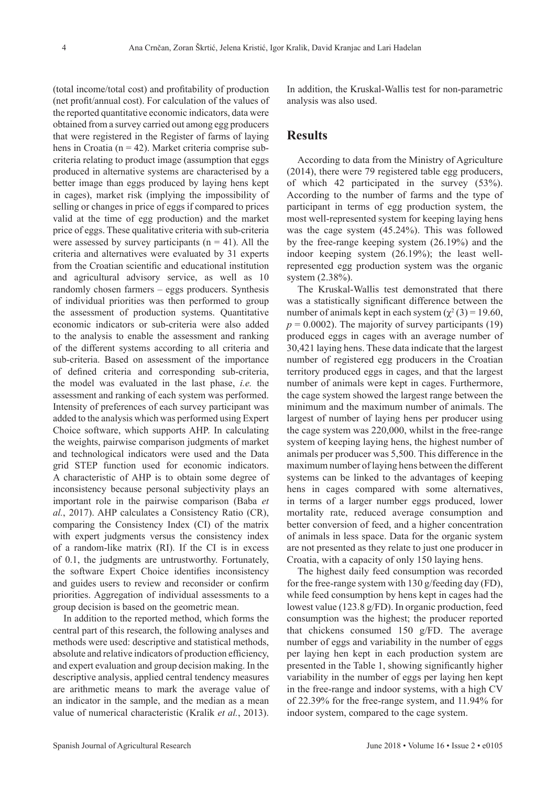(total income/total cost) and profitability of production (net profit/annual cost). For calculation of the values of the reported quantitative economic indicators, data were obtained from a survey carried out among egg producers that were registered in the Register of farms of laying hens in Croatia ( $n = 42$ ). Market criteria comprise subcriteria relating to product image (assumption that eggs produced in alternative systems are characterised by a better image than eggs produced by laying hens kept in cages), market risk (implying the impossibility of selling or changes in price of eggs if compared to prices valid at the time of egg production) and the market price of eggs. These qualitative criteria with sub-criteria were assessed by survey participants  $(n = 41)$ . All the criteria and alternatives were evaluated by 31 experts from the Croatian scientific and educational institution and agricultural advisory service, as well as 10 randomly chosen farmers – eggs producers. Synthesis of individual priorities was then performed to group the assessment of production systems. Quantitative economic indicators or sub-criteria were also added to the analysis to enable the assessment and ranking of the different systems according to all criteria and sub-criteria. Based on assessment of the importance of defined criteria and corresponding sub-criteria, the model was evaluated in the last phase, *i.e.* the assessment and ranking of each system was performed. Intensity of preferences of each survey participant was added to the analysis which was performed using Expert Choice software, which supports AHP. In calculating the weights, pairwise comparison judgments of market and technological indicators were used and the Data grid STEP function used for economic indicators. A characteristic of AHP is to obtain some degree of inconsistency because personal subjectivity plays an important role in the pairwise comparison (Baba *et al.*, 2017). AHP calculates a Consistency Ratio (CR), comparing the Consistency Index (CI) of the matrix with expert judgments versus the consistency index of a random-like matrix (RI). If the CI is in excess of 0.1, the judgments are untrustworthy. Fortunately, the software Expert Choice identifies inconsistency and guides users to review and reconsider or confirm priorities. Aggregation of individual assessments to a group decision is based on the geometric mean.

In addition to the reported method, which forms the central part of this research, the following analyses and methods were used: descriptive and statistical methods, absolute and relative indicators of production efficiency, and expert evaluation and group decision making. In the descriptive analysis, applied central tendency measures are arithmetic means to mark the average value of an indicator in the sample, and the median as a mean value of numerical characteristic (Kralik *et al.*, 2013).

In addition, the Kruskal-Wallis test for non-parametric analysis was also used.

### **Results**

According to data from the Ministry of Agriculture (2014), there were 79 registered table egg producers, of which 42 participated in the survey (53%). According to the number of farms and the type of participant in terms of egg production system, the most well-represented system for keeping laying hens was the cage system (45.24%). This was followed by the free-range keeping system (26.19%) and the indoor keeping system (26.19%); the least wellrepresented egg production system was the organic system (2.38%).

The Kruskal-Wallis test demonstrated that there was a statistically significant difference between the number of animals kept in each system  $(\chi^2(3) = 19.60)$ ,  $p = 0.0002$ ). The majority of survey participants (19) produced eggs in cages with an average number of 30,421 laying hens. These data indicate that the largest number of registered egg producers in the Croatian territory produced eggs in cages, and that the largest number of animals were kept in cages. Furthermore, the cage system showed the largest range between the minimum and the maximum number of animals. The largest of number of laying hens per producer using the cage system was 220,000, whilst in the free-range system of keeping laying hens, the highest number of animals per producer was 5,500. This difference in the maximum number of laying hens between the different systems can be linked to the advantages of keeping hens in cages compared with some alternatives, in terms of a larger number eggs produced, lower mortality rate, reduced average consumption and better conversion of feed, and a higher concentration of animals in less space. Data for the organic system are not presented as they relate to just one producer in Croatia, with a capacity of only 150 laying hens.

The highest daily feed consumption was recorded for the free-range system with 130 g/feeding day (FD), while feed consumption by hens kept in cages had the lowest value (123.8 g/FD). In organic production, feed consumption was the highest; the producer reported that chickens consumed 150 g/FD. The average number of eggs and variability in the number of eggs per laying hen kept in each production system are presented in the Table 1, showing significantly higher variability in the number of eggs per laying hen kept in the free-range and indoor systems, with a high CV of 22.39% for the free-range system, and 11.94% for indoor system, compared to the cage system.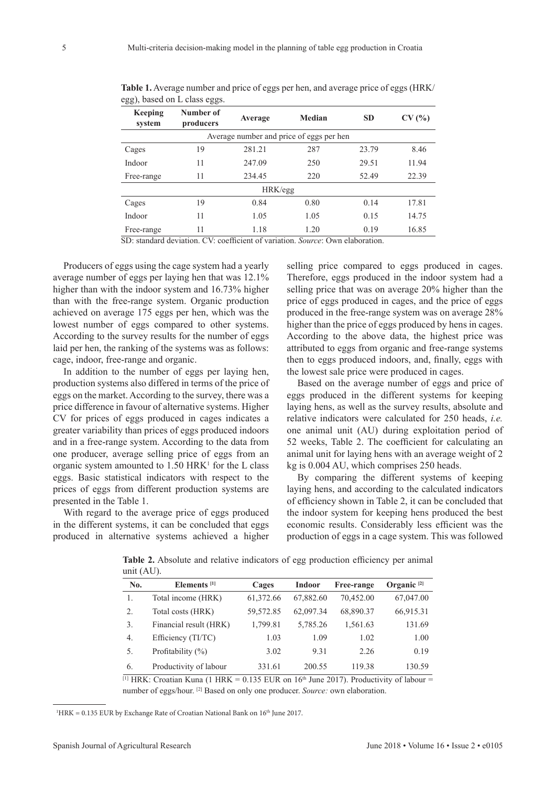| $\sim$            | $\tilde{}$             |         |                                          |           |       |
|-------------------|------------------------|---------|------------------------------------------|-----------|-------|
| Keeping<br>system | Number of<br>producers | Average | Median                                   | <b>SD</b> | CV(%) |
|                   |                        |         | Average number and price of eggs per hen |           |       |
| Cages             | 19                     | 281.21  | 287                                      | 23.79     | 8.46  |
| Indoor            | 11                     | 247.09  | 250                                      | 29.51     | 11.94 |
| Free-range        | 11                     | 234.45  | 220                                      | 52.49     | 22.39 |
|                   |                        | HRK/egg |                                          |           |       |
| Cages             | 19                     | 0.84    | 0.80                                     | 0.14      | 17.81 |
| Indoor            | 11                     | 1.05    | 1.05                                     | 0.15      | 14.75 |
| Free-range        | 11                     | 1.18    | 1.20                                     | 0.19      | 16.85 |

**Table 1.** Average number and price of eggs per hen, and average price of eggs (HRK/ egg), based on L class eggs.

SD: standard deviation. CV: coefficient of variation. *Source*: Own elaboration.

Producers of eggs using the cage system had a yearly average number of eggs per laying hen that was 12.1% higher than with the indoor system and 16.73% higher than with the free-range system. Organic production achieved on average 175 eggs per hen, which was the lowest number of eggs compared to other systems. According to the survey results for the number of eggs laid per hen, the ranking of the systems was as follows: cage, indoor, free-range and organic.

In addition to the number of eggs per laying hen, production systems also differed in terms of the price of eggs on the market. According to the survey, there was a price difference in favour of alternative systems. Higher CV for prices of eggs produced in cages indicates a greater variability than prices of eggs produced indoors and in a free-range system. According to the data from one producer, average selling price of eggs from an organic system amounted to  $1.50$  HRK<sup>1</sup> for the L class eggs. Basic statistical indicators with respect to the prices of eggs from different production systems are presented in the Table 1.

With regard to the average price of eggs produced in the different systems, it can be concluded that eggs produced in alternative systems achieved a higher selling price compared to eggs produced in cages. Therefore, eggs produced in the indoor system had a selling price that was on average 20% higher than the price of eggs produced in cages, and the price of eggs produced in the free-range system was on average 28% higher than the price of eggs produced by hens in cages. According to the above data, the highest price was attributed to eggs from organic and free-range systems then to eggs produced indoors, and, finally, eggs with the lowest sale price were produced in cages.

Based on the average number of eggs and price of eggs produced in the different systems for keeping laying hens, as well as the survey results, absolute and relative indicators were calculated for 250 heads, *i.e.* one animal unit (AU) during exploitation period of 52 weeks, Table 2. The coefficient for calculating an animal unit for laying hens with an average weight of 2 kg is 0.004 AU, which comprises 250 heads.

By comparing the different systems of keeping laying hens, and according to the calculated indicators of efficiency shown in Table 2, it can be concluded that the indoor system for keeping hens produced the best economic results. Considerably less efficient was the production of eggs in a cage system. This was followed

| $\frac{1}{2}$ |                         |           |           |            |                        |
|---------------|-------------------------|-----------|-----------|------------|------------------------|
| No.           | Elements <sup>[1]</sup> | Cages     | Indoor    | Free-range | Organic <sup>[2]</sup> |
| 1.            | Total income (HRK)      | 61,372.66 | 67,882.60 | 70,452.00  | 67,047.00              |
| 2.            | Total costs (HRK)       | 59,572.85 | 62,097.34 | 68,890.37  | 66,915.31              |
| 3.            | Financial result (HRK)  | 1,799.81  | 5,785.26  | 1,561.63   | 131.69                 |
| 4.            | Efficiency (TI/TC)      | 1.03      | 1.09      | 1.02       | 1.00                   |
| 5.            | Profitability $(\% )$   | 3.02      | 9.31      | 2.26       | 0.19                   |
| 6.            | Productivity of labour  | 331.61    | 200.55    | 119.38     | 130.59                 |

**Table 2.** Absolute and relative indicators of egg production efficiency per animal  $unif(AID)$ 

<sup>[1]</sup> HRK: Croatian Kuna (1 HRK = 0.135 EUR on 16<sup>th</sup> June 2017). Productivity of labour = number of eggs/hour. [2] Based on only one producer. *Source:* own elaboration.

<sup>1</sup>HRK = 0.135 EUR by Exchange Rate of Croatian National Bank on  $16<sup>th</sup>$  June 2017.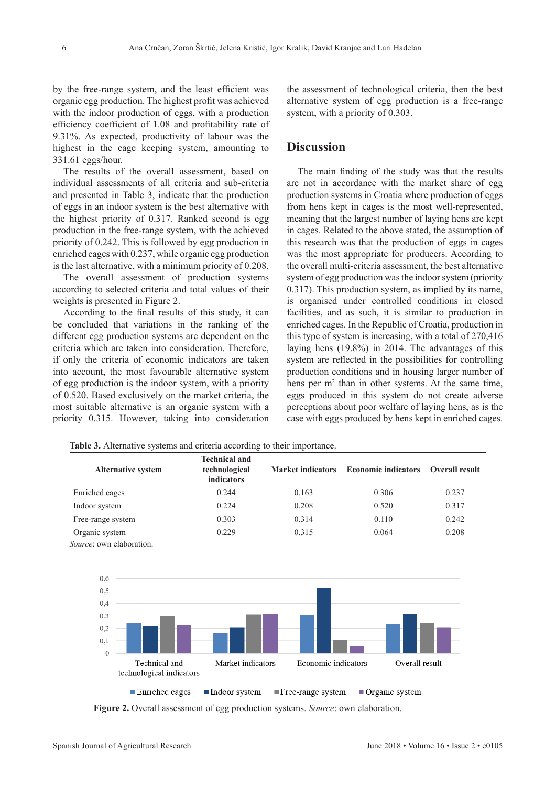by the free-range system, and the least efficient was organic egg production. The highest profit was achieved with the indoor production of eggs, with a production efficiency coefficient of 1.08 and profitability rate of 9.31%. As expected, productivity of labour was the highest in the cage keeping system, amounting to 331.61 eggs/hour.

The results of the overall assessment, based on individual assessments of all criteria and sub-criteria and presented in Table 3, indicate that the production of eggs in an indoor system is the best alternative with the highest priority of 0.317. Ranked second is egg production in the free-range system, with the achieved priority of 0.242. This is followed by egg production in enriched cages with 0.237, while organic egg production is the last alternative, with a minimum priority of 0.208.

The overall assessment of production systems according to selected criteria and total values of their weights is presented in Figure 2.

According to the final results of this study, it can be concluded that variations in the ranking of the different egg production systems are dependent on the criteria which are taken into consideration. Therefore, if only the criteria of economic indicators are taken into account, the most favourable alternative system of egg production is the indoor system, with a priority of 0.520. Based exclusively on the market criteria, the most suitable alternative is an organic system with a priority 0.315. However, taking into consideration

the assessment of technological criteria, then the best alternative system of egg production is a free-range system, with a priority of 0.303.

### **Discussion**

The main finding of the study was that the results are not in accordance with the market share of egg production systems in Croatia where production of eggs from hens kept in cages is the most well-represented, meaning that the largest number of laying hens are kept in cages. Related to the above stated, the assumption of this research was that the production of eggs in cages was the most appropriate for producers. According to the overall multi-criteria assessment, the best alternative system of egg production was the indoor system (priority 0.317). This production system, as implied by its name, is organised under controlled conditions in closed facilities, and as such, it is similar to production in enriched cages. In the Republic of Croatia, production in this type of system is increasing, with a total of 270,416 laying hens (19.8%) in 2014. The advantages of this system are reflected in the possibilities for controlling production conditions and in housing larger number of hens per m<sup>2</sup> than in other systems. At the same time, eggs produced in this system do not create adverse perceptions about poor welfare of laying hens, as is the case with eggs produced by hens kept in enriched cages.

**Table 3.** Alternative systems and criteria according to their importance.

| <b>Alternative system</b> | <b>Technical and</b><br>technological<br>indicators | <b>Market indicators</b> | <b>Economic indicators</b> | <b>Overall result</b> |
|---------------------------|-----------------------------------------------------|--------------------------|----------------------------|-----------------------|
| Enriched cages            | 0.244                                               | 0.163                    | 0.306                      | 0.237                 |
| Indoor system             | 0.224                                               | 0.208                    | 0.520                      | 0.317                 |
| Free-range system         | 0.303                                               | 0.314                    | 0.110                      | 0.242                 |
| Organic system            | 0.229                                               | 0.315                    | 0.064                      | 0.208                 |

*Source*: own elaboration.



**Figure 2.** Overall assessment of egg production systems. *Source*: own elaboration.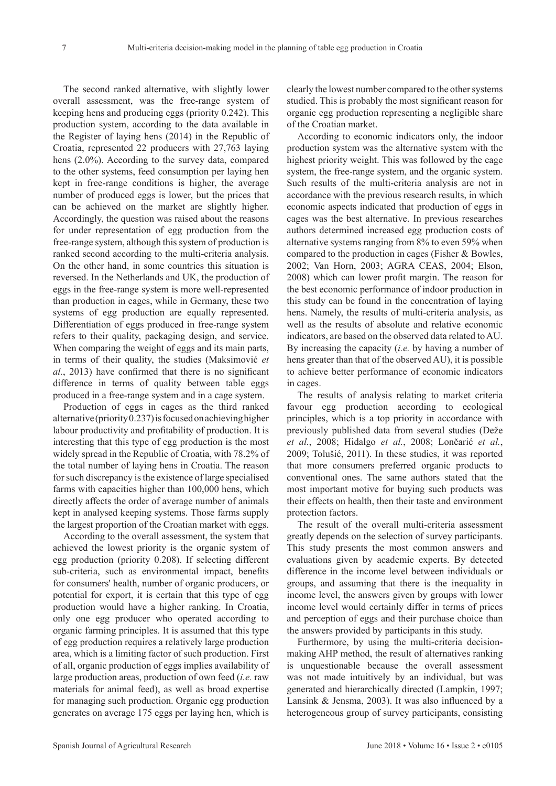The second ranked alternative, with slightly lower overall assessment, was the free-range system of keeping hens and producing eggs (priority 0.242). This production system, according to the data available in the Register of laying hens (2014) in the Republic of Croatia, represented 22 producers with 27,763 laying hens (2.0%). According to the survey data, compared to the other systems, feed consumption per laying hen kept in free-range conditions is higher, the average number of produced eggs is lower, but the prices that can be achieved on the market are slightly higher. Accordingly, the question was raised about the reasons for under representation of egg production from the free-range system, although this system of production is ranked second according to the multi-criteria analysis. On the other hand, in some countries this situation is reversed. In the Netherlands and UK, the production of eggs in the free-range system is more well-represented than production in cages, while in Germany, these two systems of egg production are equally represented. Differentiation of eggs produced in free-range system refers to their quality, packaging design, and service. When comparing the weight of eggs and its main parts, in terms of their quality, the studies (Maksimović *et al.*, 2013) have confirmed that there is no significant difference in terms of quality between table eggs produced in a free-range system and in a cage system.

Production of eggs in cages as the third ranked alternative (priority 0.237) is focused on achieving higher labour productivity and profitability of production. It is interesting that this type of egg production is the most widely spread in the Republic of Croatia, with 78.2% of the total number of laying hens in Croatia. The reason for such discrepancy is the existence of large specialised farms with capacities higher than 100,000 hens, which directly affects the order of average number of animals kept in analysed keeping systems. Those farms supply the largest proportion of the Croatian market with eggs.

According to the overall assessment, the system that achieved the lowest priority is the organic system of egg production (priority 0.208). If selecting different sub-criteria, such as environmental impact, benefits for consumers' health, number of organic producers, or potential for export, it is certain that this type of egg production would have a higher ranking. In Croatia, only one egg producer who operated according to organic farming principles. It is assumed that this type of egg production requires a relatively large production area, which is a limiting factor of such production. First of all, organic production of eggs implies availability of large production areas, production of own feed (*i.e.* raw materials for animal feed), as well as broad expertise for managing such production. Organic egg production generates on average 175 eggs per laying hen, which is

clearly the lowest number compared to the other systems studied. This is probably the most significant reason for organic egg production representing a negligible share of the Croatian market.

According to economic indicators only, the indoor production system was the alternative system with the highest priority weight. This was followed by the cage system, the free-range system, and the organic system. Such results of the multi-criteria analysis are not in accordance with the previous research results, in which economic aspects indicated that production of eggs in cages was the best alternative. In previous researches authors determined increased egg production costs of alternative systems ranging from 8% to even 59% when compared to the production in cages (Fisher & Bowles, 2002; Van Horn, 2003; AGRA CEAS, 2004; Elson, 2008) which can lower profit margin. The reason for the best economic performance of indoor production in this study can be found in the concentration of laying hens. Namely, the results of multi-criteria analysis, as well as the results of absolute and relative economic indicators, are based on the observed data related to AU. By increasing the capacity (*i.e.* by having a number of hens greater than that of the observed AU), it is possible to achieve better performance of economic indicators in cages.

The results of analysis relating to market criteria favour egg production according to ecological principles, which is a top priority in accordance with previously published data from several studies (Deže *et al.*, 2008; Hidalgo *et al.*, 2008; Lončarić *et al.*, 2009; Tolušić, 2011). In these studies, it was reported that more consumers preferred organic products to conventional ones. The same authors stated that the most important motive for buying such products was their effects on health, then their taste and environment protection factors.

The result of the overall multi-criteria assessment greatly depends on the selection of survey participants. This study presents the most common answers and evaluations given by academic experts. By detected difference in the income level between individuals or groups, and assuming that there is the inequality in income level, the answers given by groups with lower income level would certainly differ in terms of prices and perception of eggs and their purchase choice than the answers provided by participants in this study.

Furthermore, by using the multi-criteria decisionmaking AHP method, the result of alternatives ranking is unquestionable because the overall assessment was not made intuitively by an individual, but was generated and hierarchically directed (Lampkin, 1997; Lansink & Jensma, 2003). It was also influenced by a heterogeneous group of survey participants, consisting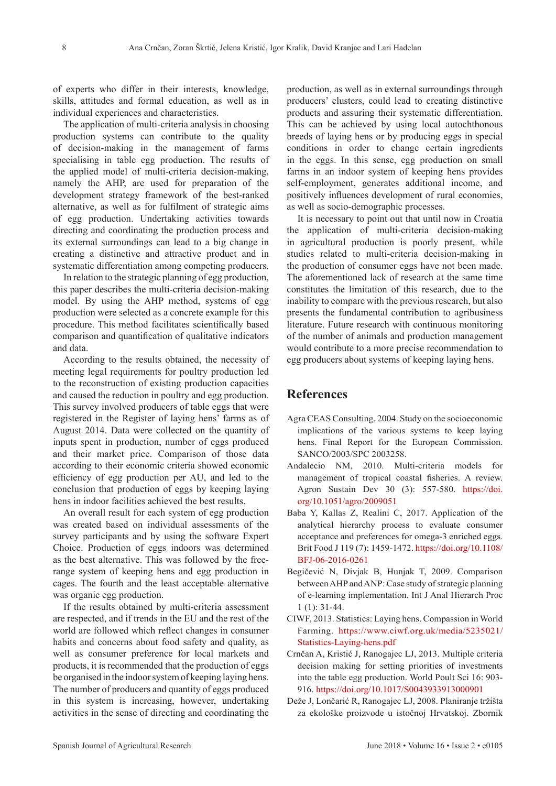of experts who differ in their interests, knowledge, skills, attitudes and formal education, as well as in individual experiences and characteristics.

The application of multi-criteria analysis in choosing production systems can contribute to the quality of decision-making in the management of farms specialising in table egg production. The results of the applied model of multi-criteria decision-making, namely the AHP, are used for preparation of the development strategy framework of the best-ranked alternative, as well as for fulfilment of strategic aims of egg production. Undertaking activities towards directing and coordinating the production process and its external surroundings can lead to a big change in creating a distinctive and attractive product and in systematic differentiation among competing producers.

In relation to the strategic planning of egg production, this paper describes the multi-criteria decision-making model. By using the AHP method, systems of egg production were selected as a concrete example for this procedure. This method facilitates scientifically based comparison and quantification of qualitative indicators and data.

According to the results obtained, the necessity of meeting legal requirements for poultry production led to the reconstruction of existing production capacities and caused the reduction in poultry and egg production. This survey involved producers of table eggs that were registered in the Register of laying hens' farms as of August 2014. Data were collected on the quantity of inputs spent in production, number of eggs produced and their market price. Comparison of those data according to their economic criteria showed economic efficiency of egg production per AU, and led to the conclusion that production of eggs by keeping laying hens in indoor facilities achieved the best results.

An overall result for each system of egg production was created based on individual assessments of the survey participants and by using the software Expert Choice. Production of eggs indoors was determined as the best alternative. This was followed by the freerange system of keeping hens and egg production in cages. The fourth and the least acceptable alternative was organic egg production.

If the results obtained by multi-criteria assessment are respected, and if trends in the EU and the rest of the world are followed which reflect changes in consumer habits and concerns about food safety and quality, as well as consumer preference for local markets and products, it is recommended that the production of eggs be organised in the indoor system of keeping laying hens. The number of producers and quantity of eggs produced in this system is increasing, however, undertaking activities in the sense of directing and coordinating the

production, as well as in external surroundings through producers' clusters, could lead to creating distinctive products and assuring their systematic differentiation. This can be achieved by using local autochthonous breeds of laying hens or by producing eggs in special conditions in order to change certain ingredients in the eggs. In this sense, egg production on small farms in an indoor system of keeping hens provides self-employment, generates additional income, and positively influences development of rural economies, as well as socio-demographic processes.

It is necessary to point out that until now in Croatia the application of multi-criteria decision-making in agricultural production is poorly present, while studies related to multi-criteria decision-making in the production of consumer eggs have not been made. The aforementioned lack of research at the same time constitutes the limitation of this research, due to the inability to compare with the previous research, but also presents the fundamental contribution to agribusiness literature. Future research with continuous monitoring of the number of animals and production management would contribute to a more precise recommendation to egg producers about systems of keeping laying hens.

## **References**

- Agra CEAS Consulting, 2004. Study on the socioeconomic implications of the various systems to keep laying hens. Final Report for the European Commission. SANCO/2003/SPC 2003258.
- Andalecio NM, 2010. Multi-criteria models for management of tropical coastal fisheries. A review. Agron Sustain Dev 30 (3): 557-580. [https://doi.](https://doi.org/10.1051/agro/2009051) [org/10.1051/agro/2009051](https://doi.org/10.1051/agro/2009051)
- Baba Y, Kallas Z, Realini C, 2017. Application of the analytical hierarchy process to evaluate consumer acceptance and preferences for omega-3 enriched eggs. Brit Food J 119 (7): 1459-1472. [https://doi.org/10.1108/](https://doi.org/10.1108/BFJ-06-2016-0261) [BFJ-06-2016-0261](https://doi.org/10.1108/BFJ-06-2016-0261)
- Begičević N, Divjak B, Hunjak T, 2009. Comparison between AHP and ANP: Case study of strategic planning of e-learning implementation. Int J Anal Hierarch Proc 1 (1): 31-44.
- CIWF, 2013. Statistics: Laying hens. Compassion in World Farming. [https://www.ciwf.org.uk/media/5235021/](https://www.ciwf.org.uk/media/5235021/Statistics-Laying-hens.pdf) [Statistics-Laying-hens.pdf](https://www.ciwf.org.uk/media/5235021/Statistics-Laying-hens.pdf)
- Crnčan A, Kristić J, Ranogajec LJ, 2013. Multiple criteria decision making for setting priorities of investments into the table egg production. World Poult Sci 16: 903- 916. <https://doi.org/10.1017/S0043933913000901>
- Deže J, Lončarić R, Ranogajec LJ, 2008. Planiranje tržišta za ekološke proizvode u istočnoj Hrvatskoj. Zbornik